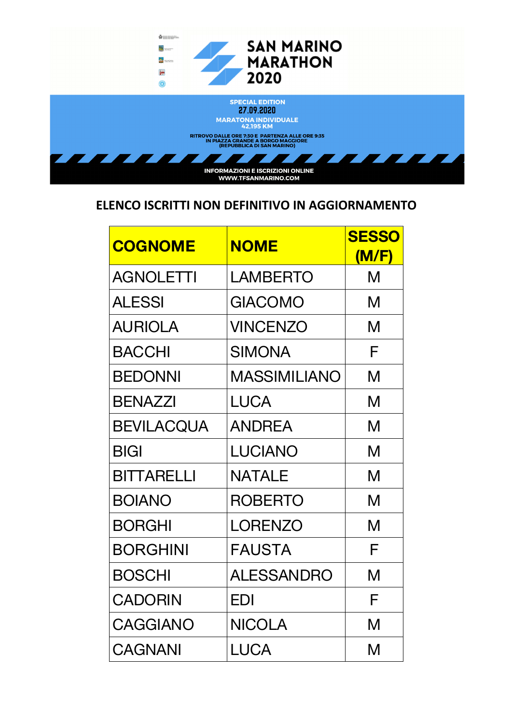

| <b>COGNOME</b>    | <b>NOME</b>         | <b>SESSO</b><br>(M/F) |
|-------------------|---------------------|-----------------------|
| <b>AGNOLETTI</b>  | LAMBERTO            | M                     |
| <b>ALESSI</b>     | <b>GIACOMO</b>      | M                     |
| <b>AURIOLA</b>    | <b>VINCENZO</b>     | M                     |
| <b>BACCHI</b>     | <b>SIMONA</b>       | F                     |
| <b>BEDONNI</b>    | <b>MASSIMILIANO</b> | M                     |
| <b>BENAZZI</b>    | <b>LUCA</b>         | M                     |
| <b>BEVILACQUA</b> | <b>ANDREA</b>       | M                     |
| <b>BIGI</b>       | <b>LUCIANO</b>      | M                     |
| <b>BITTARELLI</b> | <b>NATALE</b>       | M                     |
| <b>BOIANO</b>     | <b>ROBERTO</b>      | M                     |
| <b>BORGHI</b>     | <b>LORENZO</b>      | M                     |
| <b>BORGHINI</b>   | <b>FAUSTA</b>       | F                     |
| <b>BOSCHI</b>     | <b>ALESSANDRO</b>   | M                     |
| <b>CADORIN</b>    | EDI                 | F                     |
| <b>CAGGIANO</b>   | <b>NICOLA</b>       | M                     |
| <b>CAGNANI</b>    | <b>LUCA</b>         | M                     |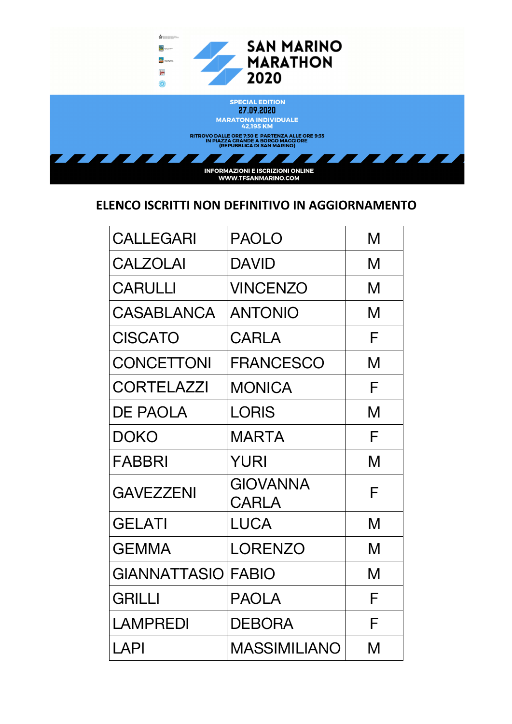

| <b>CALLEGARI</b>   | <b>PAOLO</b>             | M |
|--------------------|--------------------------|---|
| <b>CALZOLAI</b>    | <b>DAVID</b>             | M |
| <b>CARULLI</b>     | VINCENZO                 | M |
| CASABLANCA         | <b>ANTONIO</b>           | M |
| <b>CISCATO</b>     | CARLA                    | F |
| <b>CONCETTONI</b>  | <b>FRANCESCO</b>         | M |
| <b>CORTELAZZI</b>  | <b>MONICA</b>            | F |
| <b>DE PAOLA</b>    | LORIS                    | M |
| DOKO               | MARTA                    | F |
| FABBRI             | YURI                     | M |
| <b>GAVEZZENI</b>   | GIOVANNA<br><b>CARLA</b> | F |
| <b>GELATI</b>      | <b>LUCA</b>              | M |
| <b>GEMMA</b>       | <b>LORENZO</b>           | M |
| GIANNATTASIO FABIO |                          | M |
| <b>GRILLI</b>      | <b>PAOLA</b>             | F |
| LAMPREDI           | <b>DEBORA</b>            | F |
| LAPI               | <b>MASSIMILIANO</b>      | M |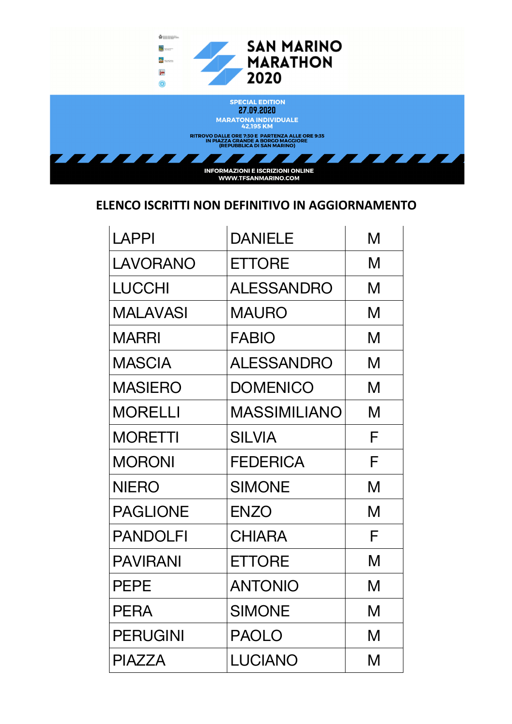

| <b>LAPPI</b>    | <b>DANIELE</b>      | M |
|-----------------|---------------------|---|
| <b>LAVORANO</b> | <b>ETTORE</b>       | M |
| <b>LUCCHI</b>   | <b>ALESSANDRO</b>   | M |
| <b>MALAVASI</b> | <b>MAURO</b>        | M |
| <b>MARRI</b>    | <b>FABIO</b>        | M |
| <b>MASCIA</b>   | <b>ALESSANDRO</b>   | M |
| <b>MASIERO</b>  | <b>DOMENICO</b>     | M |
| <b>MORELLI</b>  | <b>MASSIMILIANO</b> | M |
| <b>MORETTI</b>  | <b>SILVIA</b>       | F |
| <b>MORONI</b>   | <b>FEDERICA</b>     | F |
| <b>NIERO</b>    | <b>SIMONE</b>       | M |
| <b>PAGLIONE</b> | <b>ENZO</b>         | M |
| <b>PANDOLFI</b> | <b>CHIARA</b>       | F |
| <b>PAVIRANI</b> | <b>ETTORE</b>       | M |
| <b>PEPE</b>     | <b>ANTONIO</b>      | M |
| <b>PERA</b>     | <b>SIMONE</b>       | M |
| <b>PERUGINI</b> | <b>PAOLO</b>        | M |
| <b>PIAZZA</b>   | <b>LUCIANO</b>      | M |